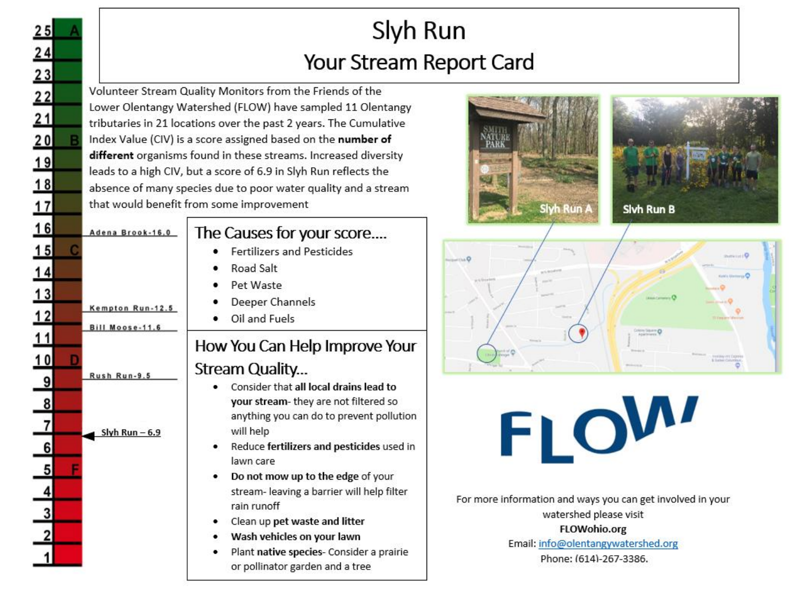## Slyh Run Your Stream Report Card

Volunteer Stream Quality Monitors from the Friends of the Lower Olentangy Watershed (FLOW) have sampled 11 Olentangy tributaries in 21 locations over the past 2 years. The Cumulative Index Value (CIV) is a score assigned based on the number of different organisms found in these streams. Increased diversity leads to a high CIV, but a score of 6.9 in Slyh Run reflects the absence of many species due to poor water quality and a stream that would benefit from some improvement

 $25$ 

 $\begin{array}{@{}c@{\hspace{1em}}c@{\hspace{1em}}c@{\hspace{1em}}c@{\hspace{1em}}c@{\hspace{1em}}c@{\hspace{1em}}c@{\hspace{1em}}c@{\hspace{1em}}c@{\hspace{1em}}c@{\hspace{1em}}c@{\hspace{1em}}c@{\hspace{1em}}c@{\hspace{1em}}c@{\hspace{1em}}c@{\hspace{1em}}c@{\hspace{1em}}c@{\hspace{1em}}c@{\hspace{1em}}c@{\hspace{1em}}c@{\hspace{1em}}c@{\hspace{1em}}c@{\hspace{1em}}c@{\hspace{1em}}c@{\hspace{$ 

 $16$ 

 $15$ 

 $\overline{14}$ 

 $13$ 

 $12$ 

 $11$ 

Adena Brook-16.0

Kempton Run-12.5

Bill Moose-11.6

Rush Run-9.5

Slyh Run  $-6.9$ 

The Causes for your score....

- **Fertilizers and Pesticides**
- Road Salt
- Pet Waste
- Deeper Channels
- Oil and Fuels

## How You Can Help Improve Your

### Stream Quality...

- Consider that all local drains lead to your stream- they are not filtered so anything you can do to prevent pollution will help
- Reduce fertilizers and pesticides used in lawn care
- Do not mow up to the edge of your ٠ stream- leaving a barrier will help filter rain runoff
- Clean up pet waste and litter
- Wash vehicles on your lawn
- Plant native species- Consider a prairie ٠ or pollinator garden and a tree









For more information and ways you can get involved in your watershed please visit

FLOWohio.org

Email: info@olentangywatershed.org

Phone: (614)-267-3386.